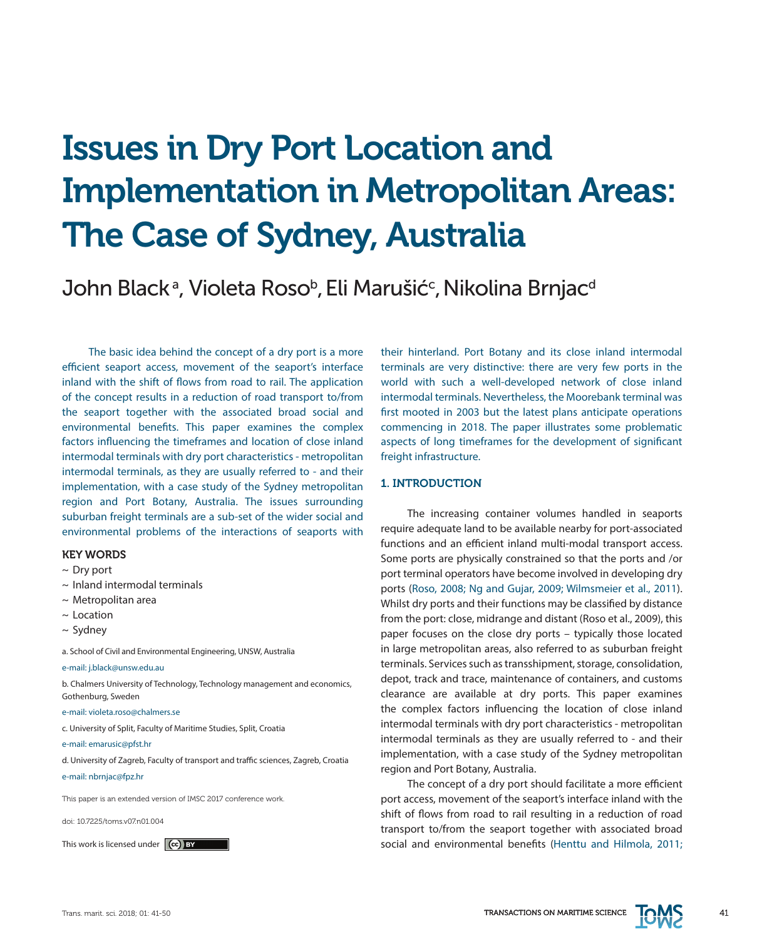# Issues in Dry Port Location and Implementation in Metropolitan Areas: The Case of Sydney, Australia

John Blackª, Violeta Rosoʰ, Eli Marušić°, Nikolina Brnjac<sup>d</sup>

The basic idea behind the concept of a dry port is a more efficient seaport access, movement of the seaport's interface inland with the shift of flows from road to rail. The application of the concept results in a reduction of road transport to/from the seaport together with the associated broad social and environmental benefits. This paper examines the complex factors influencing the timeframes and location of close inland intermodal terminals with dry port characteristics - metropolitan intermodal terminals, as they are usually referred to - and their implementation, with a case study of the Sydney metropolitan region and Port Botany, Australia. The issues surrounding suburban freight terminals are a sub-set of the wider social and environmental problems of the interactions of seaports with

# KEY WORDS

- $\sim$  Drv port
- $\sim$  Inland intermodal terminals
- ~ Metropolitan area
- ~ Location
- ~ Sydney

a. School of Civil and Environmental Engineering, UNSW, Australia

#### e-mail: j.black@unsw.edu.au

b. Chalmers University of Technology, Technology management and economics, Gothenburg, Sweden

e-mail: violeta.roso@chalmers.se

c. University of Split, Faculty of Maritime Studies, Split, Croatia

#### e-mail: emarusic@pfst.hr

d. University of Zagreb, Faculty of transport and traffic sciences, Zagreb, Croatia e-mail: nbrnjac@fpz.hr

This paper is an extended version of IMSC 2017 conference work.

doi: 10.7225/toms.v07.n01.004

their hinterland. Port Botany and its close inland intermodal terminals are very distinctive: there are very few ports in the world with such a well-developed network of close inland intermodal terminals. Nevertheless, the Moorebank terminal was first mooted in 2003 but the latest plans anticipate operations commencing in 2018. The paper illustrates some problematic aspects of long timeframes for the development of significant freight infrastructure.

# 1. INTRODUCTION

The increasing container volumes handled in seaports require adequate land to be available nearby for port-associated functions and an efficient inland multi-modal transport access. Some ports are physically constrained so that the ports and /or port terminal operators have become involved in developing dry ports ([Roso, 2008;](http://www.rin.org.uk/Newsitem/5042/First-GPS-III-satellite-ready/Feed) Ng and Gujar, 2009; Wilmsmeier et al., 2011). Whilst dry ports and their functions may be classified by distance from the port: close, midrange and distant (Roso et al., 2009), this paper focuses on the close dry ports – typically those located in large metropolitan areas, also referred to as suburban freight terminals. Services such as transshipment, storage, consolidation, depot, track and trace, maintenance of containers, and customs clearance are available at dry ports. This paper examines the complex factors influencing the location of close inland intermodal terminals with dry port characteristics - metropolitan intermodal terminals as they are usually referred to - and their implementation, with a case study of the Sydney metropolitan region and Port Botany, Australia.

The concept of a dry port should facilitate a more efficient port access, movement of the seaport's interface inland with the shift of flows from road to rail resulting in a reduction of road transport to/from the seaport together with associated broad This work is licensed under  $\ket{\mathbf{G}}$  by the social and environmental benefits (Henttu and Hilmola, 2011;

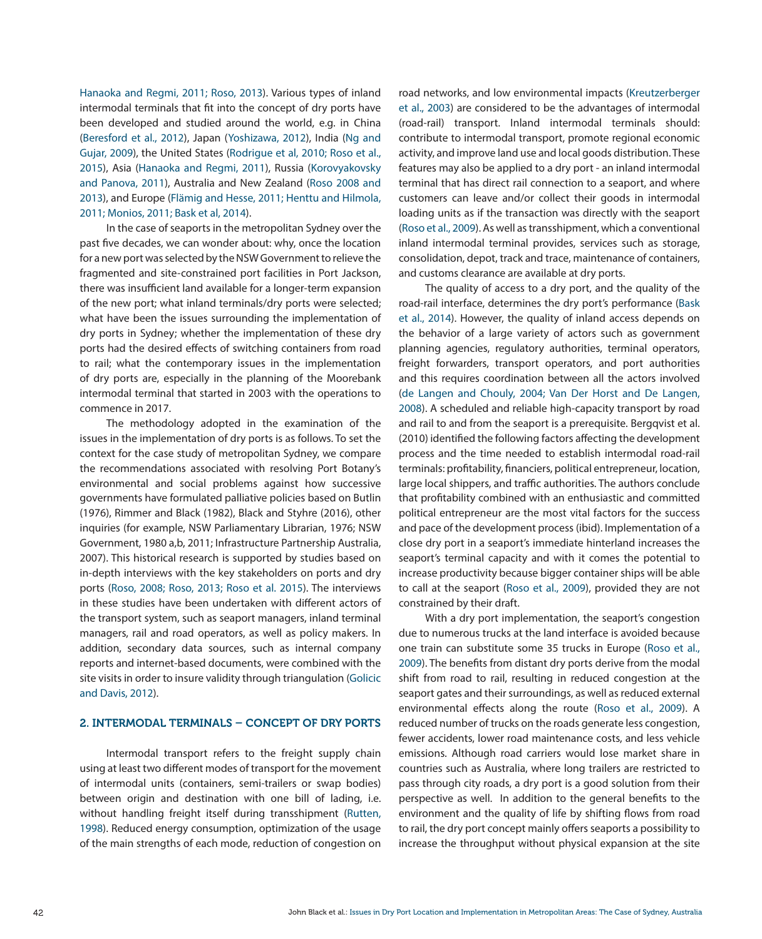Hanaoka and Regmi, 2011; Roso, 2013). Various types of inland intermodal terminals that fit into the concept of dry ports have been developed and studied around the world, e.g. in China (Beresford et al., 2012), Japan (Yoshizawa, 2012), India (Ng and Gujar, 2009), the United States (R[odrigue et al, 2010; Roso et al.,](http://www.rin.org.uk/newsitem/5038/Dual-frequency-GNSS-receiver-introduced)  [2015](http://www.rin.org.uk/newsitem/5038/Dual-frequency-GNSS-receiver-introduced)), Asia (Hanaoka and Regmi, 2011), Russia (Korovyakovsky and Panova, 2011), Australia and New Zealand (Roso 2008 and 2013), and Europe (Flämig and Hesse, 2011; Henttu and Hilmola, 2011; Monios, 2011; Bask et al, 2014).

In the case of seaports in the metropolitan Sydney over the past five decades, we can wonder about: why, once the location for a new port was selected by the NSW Government to relieve the fragmented and site-constrained port facilities in Port Jackson, there was insufficient land available for a longer-term expansion of the new port; what inland terminals/dry ports were selected; what have been the issues surrounding the implementation of dry ports in Sydney; whether the implementation of these dry ports had the desired effects of switching containers from road to rail; what the contemporary issues in the implementation of dry ports are, especially in the planning of the Moorebank intermodal terminal that started in 2003 with the operations to commence in 2017.

The methodology adopted in the examination of the issues in the implementation of dry ports is as follows. To set the context for the case study of metropolitan Sydney, we compare the recommendations associated with resolving Port Botany's environmental and social problems against how successive governments have formulated palliative policies based on Butlin (1976), Rimmer and Black (1982), Black and Styhre (2016), other inquiries (for example, NSW Parliamentary Librarian, 1976; NSW Government, 1980 a,b, 2011; Infrastructure Partnership Australia, 2007). This historical research is supported by studies based on in-depth interviews with the key stakeholders on ports and dry ports (Roso, 2008; Roso, 2013; Roso et al. 2015). The interviews in these studies have been undertaken with different actors of the transport system, such as seaport managers, inland terminal managers, rail and road operators, as well as policy makers. In addition, secondary data sources, such as internal company reports and internet-based documents, were combined with the site visits in order to insure validity through triangulation (Golicic and Davis, 2012).

## 2. INTERMODAL TERMINALS – CONCEPT OF DRY PORTS

Intermodal transport refers to the freight supply chain using at least two different modes of transport for the movement of intermodal units (containers, semi-trailers or swap bodies) between origin and destination with one bill of lading, i.e. without handling freight itself during transshipment (Rutten, 1998). Reduced energy consumption, optimization of the usage of the main strengths of each mode, reduction of congestion on

road networks, and low environmental impacts (Kreutzerberger et al., 2003) are considered to be the advantages of intermodal (road-rail) transport. Inland intermodal terminals should: contribute to intermodal transport, promote regional economic activity, and improve land use and local goods distribution. These features may also be applied to a dry port - an inland intermodal terminal that has direct rail connection to a seaport, and where customers can leave and/or collect their goods in intermodal loading units as if the transaction was directly with the seaport (Roso et al., 2009). As well as transshipment, which a conventional inland intermodal terminal provides, services such as storage, consolidation, depot, track and trace, maintenance of containers, and customs clearance are available at dry ports.

The quality of access to a dry port, and the quality of the road-rail interface, determines the dry port's performance (Bask et al., 2014). However, the quality of inland access depends on the behavior of a large variety of actors such as government planning agencies, regulatory authorities, terminal operators, freight forwarders, transport operators, and port authorities and this requires coordination between all the actors involved (de Langen and Chouly, 2004; [Van Der Horst and De Langen,](http://www.imo.org)  [2008](http://www.imo.org)). A scheduled and reliable high-capacity transport by road and rail to and from the seaport is a prerequisite. Bergqvist et al. (2010) identified the following factors affecting the development process and the time needed to establish intermodal road-rail terminals: profitability, financiers, political entrepreneur, location, large local shippers, and traffic authorities. The authors conclude that profitability combined with an enthusiastic and committed political entrepreneur are the most vital factors for the success and pace of the development process (ibid). Implementation of a close dry port in a seaport's immediate hinterland increases the seaport's terminal capacity and with it comes the potential to increase productivity because bigger container ships will be able to call at the seaport [\(Roso et al., 2009](https://docs.imo.org)), provided they are not constrained by their draft.

With a dry port implementation, the seaport's congestion due to numerous trucks at the land interface is avoided because one train can substitute some 35 trucks in Europe ([Roso et al.,](https://gisis.imo.org)  [2009](https://gisis.imo.org)). The benefits from distant dry ports derive from the modal shift from road to rail, resulting in reduced congestion at the seaport gates and their surroundings, as well as reduced external environmental effects along the route (Roso et al., 2009). A reduced number of trucks on the roads generate less congestion, fewer accidents, lower road maintenance costs, and less vehicle emissions. Although road carriers would lose market share in countries such as Australia, where long trailers are restricted to pass through city roads, a dry port is a good solution from their perspective as well. In addition to the general benefits to the environment and the quality of life by shifting flows from road to rail, the dry port concept mainly offers seaports a possibility to increase the throughput without physical expansion at the site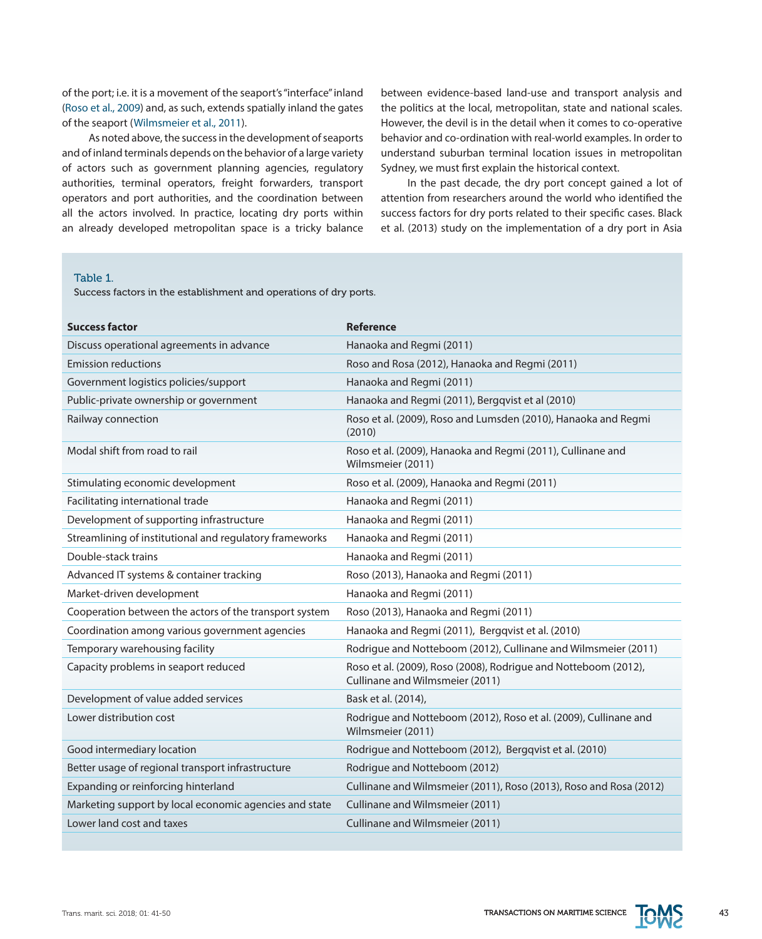of the port; i.e. it is a movement of the seaport's "interface" inland (Roso et al., 2009) and, as such, extends spatially inland the gates of the seaport (Wilmsmeier et al., 2011).

As noted above, the success in the development of seaports and of inland terminals depends on the behavior of a large variety of actors such as government planning agencies, regulatory authorities, terminal operators, freight forwarders, transport operators and port authorities, and the coordination between all the actors involved. In practice, locating dry ports within an already developed metropolitan space is a tricky balance

between evidence-based land-use and transport analysis and the politics at the local, metropolitan, state and national scales. However, the devil is in the detail when it comes to co-operative behavior and co-ordination with real-world examples. In order to understand suburban terminal location issues in metropolitan Sydney, we must first explain the historical context.

In the past decade, the dry port concept gained a lot of attention from researchers around the world who identified the success factors for dry ports related to their specific cases. Black et al. (2013) study on the implementation of a dry port in Asia

### Table 1.

Success factors in the establishment and operations of dry ports.

| <b>Success factor</b>                                   | <b>Reference</b>                                                                                   |
|---------------------------------------------------------|----------------------------------------------------------------------------------------------------|
| Discuss operational agreements in advance               | Hanaoka and Regmi (2011)                                                                           |
| <b>Emission reductions</b>                              | Roso and Rosa (2012), Hanaoka and Regmi (2011)                                                     |
| Government logistics policies/support                   | Hanaoka and Regmi (2011)                                                                           |
| Public-private ownership or government                  | Hanaoka and Regmi (2011), Bergqvist et al (2010)                                                   |
| Railway connection                                      | Roso et al. (2009), Roso and Lumsden (2010), Hanaoka and Regmi<br>(2010)                           |
| Modal shift from road to rail                           | Roso et al. (2009), Hanaoka and Regmi (2011), Cullinane and<br>Wilmsmeier (2011)                   |
| Stimulating economic development                        | Roso et al. (2009), Hanaoka and Regmi (2011)                                                       |
| Facilitating international trade                        | Hanaoka and Regmi (2011)                                                                           |
| Development of supporting infrastructure                | Hanaoka and Regmi (2011)                                                                           |
| Streamlining of institutional and regulatory frameworks | Hanaoka and Regmi (2011)                                                                           |
| Double-stack trains                                     | Hanaoka and Regmi (2011)                                                                           |
| Advanced IT systems & container tracking                | Roso (2013), Hanaoka and Regmi (2011)                                                              |
| Market-driven development                               | Hanaoka and Regmi (2011)                                                                           |
| Cooperation between the actors of the transport system  | Roso (2013), Hanaoka and Regmi (2011)                                                              |
| Coordination among various government agencies          | Hanaoka and Regmi (2011), Bergqvist et al. (2010)                                                  |
| Temporary warehousing facility                          | Rodrigue and Notteboom (2012), Cullinane and Wilmsmeier (2011)                                     |
| Capacity problems in seaport reduced                    | Roso et al. (2009), Roso (2008), Rodrigue and Notteboom (2012),<br>Cullinane and Wilmsmeier (2011) |
| Development of value added services                     | Bask et al. (2014),                                                                                |
| Lower distribution cost                                 | Rodrigue and Notteboom (2012), Roso et al. (2009), Cullinane and<br>Wilmsmeier (2011)              |
| Good intermediary location                              | Rodrigue and Notteboom (2012), Bergqvist et al. (2010)                                             |
| Better usage of regional transport infrastructure       | Rodrigue and Notteboom (2012)                                                                      |
| Expanding or reinforcing hinterland                     | Cullinane and Wilmsmeier (2011), Roso (2013), Roso and Rosa (2012)                                 |
| Marketing support by local economic agencies and state  | Cullinane and Wilmsmeier (2011)                                                                    |
| Lower land cost and taxes                               | Cullinane and Wilmsmeier (2011)                                                                    |

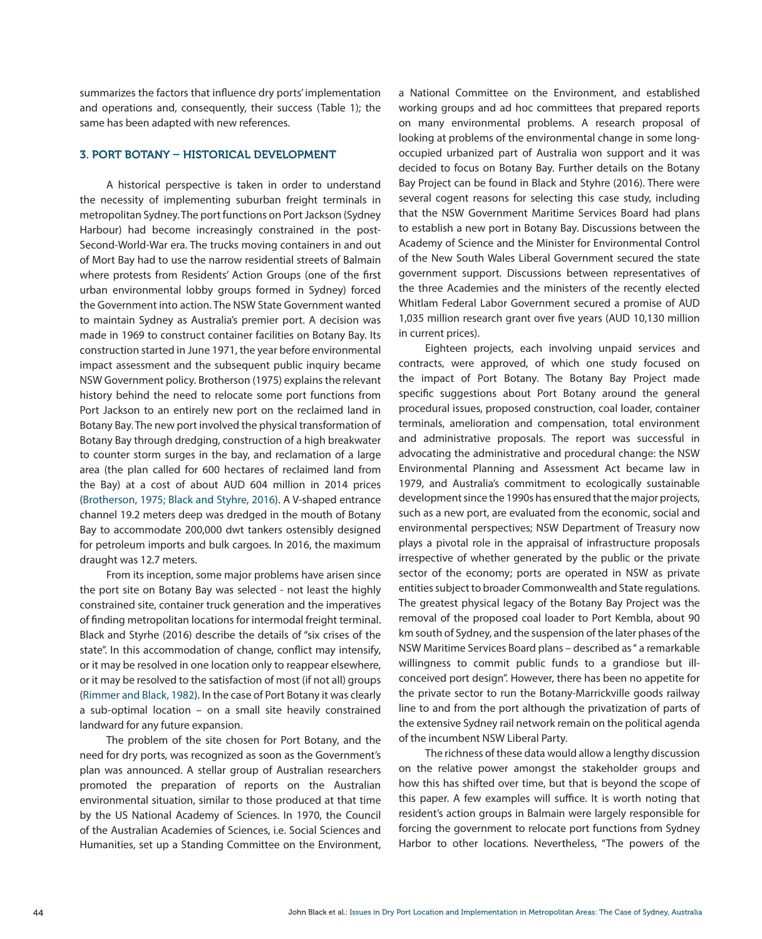summarizes the factors that influence dry ports' implementation and operations and, consequently, their success (Table 1); the same has been adapted with new references.

# 3. PORT BOTANY – HISTORICAL DEVELOPMENT

A historical perspective is taken in order to understand the necessity of implementing suburban freight terminals in metropolitan Sydney. The port functions on Port Jackson (Sydney Harbour) had become increasingly constrained in the post-Second-World-War era. The trucks moving containers in and out of Mort Bay had to use the narrow residential streets of Balmain where protests from Residents' Action Groups (one of the first urban environmental lobby groups formed in Sydney) forced the Government into action. The NSW State Government wanted to maintain Sydney as Australia's premier port. A decision was made in 1969 to construct container facilities on Botany Bay. Its construction started in June 1971, the year before environmental impact assessment and the subsequent public inquiry became NSW Government policy. Brotherson (1975) explains the relevant history behind the need to relocate some port functions from Port Jackson to an entirely new port on the reclaimed land in Botany Bay. The new port involved the physical transformation of Botany Bay through dredging, construction of a high breakwater to counter storm surges in the bay, and reclamation of a large area (the plan called for 600 hectares of reclaimed land from the Bay) at a cost of about AUD 604 million in 2014 prices (Brotherson, 1975; Black and Styhre, 2016). A V-shaped entrance channel 19.2 meters deep was dredged in the mouth of Botany Bay to accommodate 200,000 dwt tankers ostensibly designed for petroleum imports and bulk cargoes. In 2016, the maximum draught was 12.7 meters.

From its inception, some major problems have arisen since the port site on Botany Bay was selected - not least the highly constrained site, container truck generation and the imperatives of finding metropolitan locations for intermodal freight terminal. Black and Styrhe (2016) describe the details of "six crises of the state". In this accommodation of change, conflict may intensify, or it may be resolved in one location only to reappear elsewhere, or it may be resolved to the satisfaction of most (if not all) groups [\(Rimmer and Black, 1982](https://www.wartsila.com/twentyfour7/in-detail/catching-the-surge)). In the case of Port Botany it was clearly a sub-optimal location – on a small site heavily constrained landward for any future expansion.

The problem of the site chosen for Port Botany, and the need for dry ports, was recognized as soon as the Government's plan was announced. A stellar group of Australian researchers promoted the preparation of reports on the Australian environmental situation, similar to those produced at that time by the US National Academy of Sciences. In 1970, the Council of the Australian Academies of Sciences, i.e. Social Sciences and Humanities, set up a Standing Committee on the Environment, a National Committee on the Environment, and established working groups and ad hoc committees that prepared reports on many environmental problems. A research proposal of looking at problems of the environmental change in some longoccupied urbanized part of Australia won support and it was decided to focus on Botany Bay. Further details on the Botany Bay Project can be found in Black and Styhre (2016). There were several cogent reasons for selecting this case study, including that the NSW Government Maritime Services Board had plans to establish a new port in Botany Bay. Discussions between the Academy of Science and the Minister for Environmental Control of the New South Wales Liberal Government secured the state government support. Discussions between representatives of the three Academies and the ministers of the recently elected Whitlam Federal Labor Government secured a promise of AUD 1,035 million research grant over five years (AUD 10,130 million in current prices).

Eighteen projects, each involving unpaid services and contracts, were approved, of which one study focused on the impact of Port Botany. The Botany Bay Project made specific suggestions about Port Botany around the general procedural issues, proposed construction, coal loader, container terminals, amelioration and compensation, total environment and administrative proposals. The report was successful in advocating the administrative and procedural change: the NSW Environmental Planning and Assessment Act became law in 1979, and Australia's commitment to ecologically sustainable development since the 1990s has ensured that the major projects, such as a new port, are evaluated from the economic, social and environmental perspectives; NSW Department of Treasury now plays a pivotal role in the appraisal of infrastructure proposals irrespective of whether generated by the public or the private sector of the economy; ports are operated in NSW as private entities subject to broader Commonwealth and State regulations. The greatest physical legacy of the Botany Bay Project was the removal of the proposed coal loader to Port Kembla, about 90 km south of Sydney, and the suspension of the later phases of the NSW Maritime Services Board plans – described as " a remarkable willingness to commit public funds to a grandiose but illconceived port design". However, there has been no appetite for the private sector to run the Botany-Marrickville goods railway line to and from the port although the privatization of parts of the extensive Sydney rail network remain on the political agenda of the incumbent NSW Liberal Party.

The richness of these data would allow a lengthy discussion on the relative power amongst the stakeholder groups and how this has shifted over time, but that is beyond the scope of this paper. A few examples will suffice. It is worth noting that resident's action groups in Balmain were largely responsible for forcing the government to relocate port functions from Sydney Harbor to other locations. Nevertheless, "The powers of the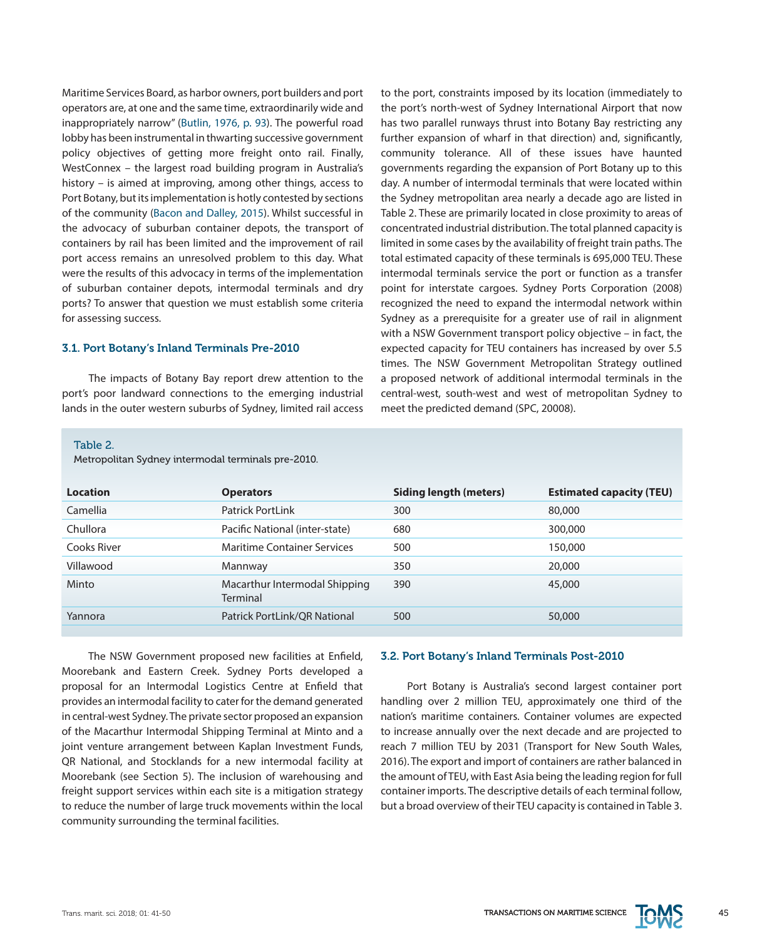Maritime Services Board, as harbor owners, port builders and port operators are, at one and the same time, extraordinarily wide and inappropriately narrow" (Butlin, 1976, p. 93). The powerful road lobby has been instrumental in thwarting successive government policy objectives of getting more freight onto rail. Finally, WestConnex – the largest road building program in Australia's history – is aimed at improving, among other things, access to Port Botany, but its implementation is hotly contested by sections of the community (Bacon and Dalley, 2015). Whilst successful in the advocacy of suburban container depots, the transport of containers by rail has been limited and the improvement of rail port access remains an unresolved problem to this day. What were the results of this advocacy in terms of the implementation of suburban container depots, intermodal terminals and dry ports? To answer that question we must establish some criteria for assessing success.

### 3.1. Port Botany's Inland Terminals Pre-2010

The impacts of Botany Bay report drew attention to the port's poor landward connections to the emerging industrial lands in the outer western suburbs of Sydney, limited rail access

to the port, constraints imposed by its location (immediately to the port's north-west of Sydney International Airport that now has two parallel runways thrust into Botany Bay restricting any further expansion of wharf in that direction) and, significantly, community tolerance. All of these issues have haunted governments regarding the expansion of Port Botany up to this day. A number of intermodal terminals that were located within the Sydney metropolitan area nearly a decade ago are listed in Table 2. These are primarily located in close proximity to areas of concentrated industrial distribution. The total planned capacity is limited in some cases by the availability of freight train paths. The total estimated capacity of these terminals is 695,000 TEU. These intermodal terminals service the port or function as a transfer point for interstate cargoes. Sydney Ports Corporation (2008) recognized the need to expand the intermodal network within Sydney as a prerequisite for a greater use of rail in alignment with a NSW Government transport policy objective – in fact, the expected capacity for TEU containers has increased by over 5.5 times. The NSW Government Metropolitan Strategy outlined a proposed network of additional intermodal terminals in the central-west, south-west and west of metropolitan Sydney to meet the predicted demand (SPC, 20008).

#### Table 2.

Metropolitan Sydney intermodal terminals pre-2010.

| Location    | <b>Operators</b>                                 | Siding length (meters) | <b>Estimated capacity (TEU)</b> |
|-------------|--------------------------------------------------|------------------------|---------------------------------|
| Camellia    | Patrick PortLink                                 | 300                    | 80,000                          |
| Chullora    | Pacific National (inter-state)                   | 680                    | 300,000                         |
| Cooks River | Maritime Container Services                      | 500                    | 150,000                         |
| Villawood   | Mannway                                          | 350                    | 20,000                          |
| Minto       | Macarthur Intermodal Shipping<br><b>Terminal</b> | 390                    | 45,000                          |
| Yannora     | Patrick PortLink/QR National                     | 500                    | 50,000                          |

The NSW Government proposed new facilities at Enfield, Moorebank and Eastern Creek. Sydney Ports developed a proposal for an Intermodal Logistics Centre at Enfield that provides an intermodal facility to cater for the demand generated in central-west Sydney. The private sector proposed an expansion of the Macarthur Intermodal Shipping Terminal at Minto and a joint venture arrangement between Kaplan Investment Funds, QR National, and Stocklands for a new intermodal facility at Moorebank (see Section 5). The inclusion of warehousing and freight support services within each site is a mitigation strategy to reduce the number of large truck movements within the local community surrounding the terminal facilities.

#### 3.2. Port Botany's Inland Terminals Post-2010

Port Botany is Australia's second largest container port handling over 2 million TEU, approximately one third of the nation's maritime containers. Container volumes are expected to increase annually over the next decade and are projected to reach 7 million TEU by 2031 (Transport for New South Wales, 2016). The export and import of containers are rather balanced in the amount of TEU, with East Asia being the leading region for full container imports. The descriptive details of each terminal follow, but a broad overview of their TEU capacity is contained in Table 3.

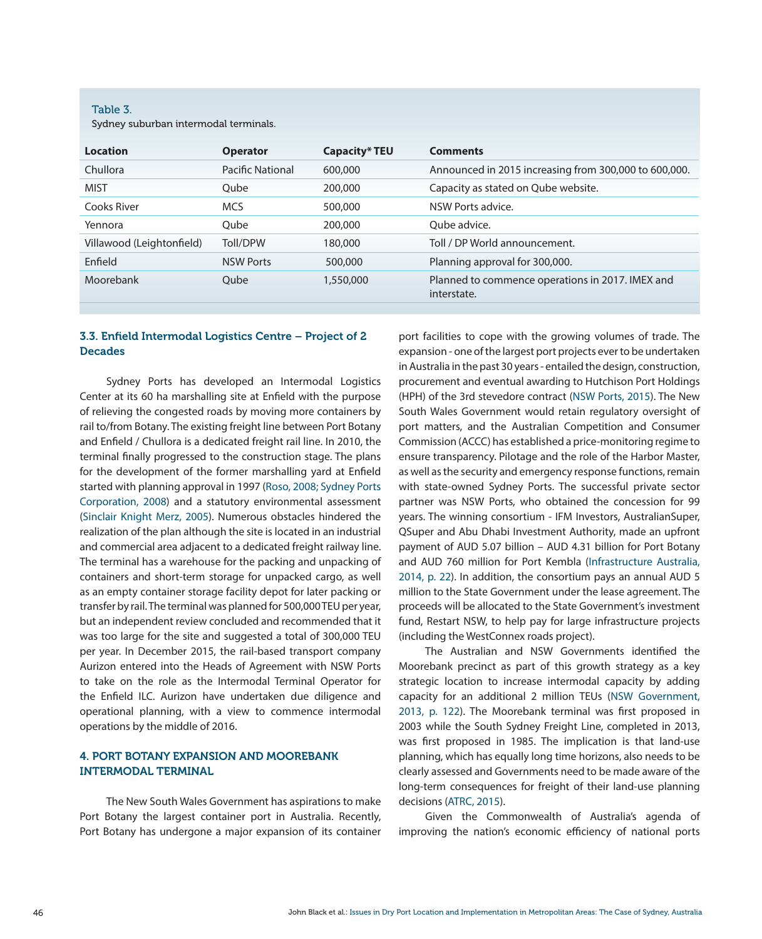### Table 3.

Sydney suburban intermodal terminals.

| <b>Location</b>           | <b>Operator</b>  | <b>Capacity* TEU</b> | <b>Comments</b>                                                 |
|---------------------------|------------------|----------------------|-----------------------------------------------------------------|
| Chullora                  | Pacific National | 600,000              | Announced in 2015 increasing from 300,000 to 600,000.           |
| <b>MIST</b>               | Oube             | 200,000              | Capacity as stated on Qube website.                             |
| Cooks River               | <b>MCS</b>       | 500,000              | NSW Ports advice.                                               |
| Yennora                   | Oube             | 200,000              | Oube advice.                                                    |
| Villawood (Leightonfield) | Toll/DPW         | 180,000              | Toll / DP World announcement.                                   |
| Enfield                   | <b>NSW Ports</b> | 500,000              | Planning approval for 300,000.                                  |
| Moorebank                 | Oube             | 1,550,000            | Planned to commence operations in 2017. IMEX and<br>interstate. |
|                           |                  |                      |                                                                 |

# 3.3. Enfield Intermodal Logistics Centre – Project of 2 **Decades**

Sydney Ports has developed an Intermodal Logistics Center at its 60 ha marshalling site at Enfield with the purpose of relieving the congested roads by moving more containers by rail to/from Botany. The existing freight line between Port Botany and Enfield / Chullora is a dedicated freight rail line. In 2010, the terminal finally progressed to the construction stage. The plans for the development of the former marshalling yard at Enfield started with planning approval in 1997 (Roso, 2008; Sydney Ports Corporation, 2008) and a statutory environmental assessment (Sinclair Knight Merz, 2005). Numerous obstacles hindered the realization of the plan although the site is located in an industrial and commercial area adjacent to a dedicated freight railway line. The terminal has a warehouse for the packing and unpacking of containers and short-term storage for unpacked cargo, as well as an empty container storage facility depot for later packing or transfer by rail. The terminal was planned for 500,000 TEU per year, but an independent review concluded and recommended that it was too large for the site and suggested a total of 300,000 TEU per year. In December 2015, the rail-based transport company Aurizon entered into the Heads of Agreement with NSW Ports to take on the role as the Intermodal Terminal Operator for the Enfield ILC. Aurizon have undertaken due diligence and operational planning, with a view to commence intermodal operations by the middle of 2016.

# 4. PORT BOTANY EXPANSION AND MOOREBANK INTERMODAL TERMINAL

The New South Wales Government has aspirations to make Port Botany the largest container port in Australia. Recently, Port Botany has undergone a major expansion of its container

port facilities to cope with the growing volumes of trade. The expansion - one of the largest port projects ever to be undertaken in Australia in the past 30 years - entailed the design, construction, procurement and eventual awarding to Hutchison Port Holdings (HPH) of the 3rd stevedore contract (NSW Ports, 2015). The New South Wales Government would retain regulatory oversight of port matters, and the Australian Competition and Consumer Commission (ACCC) has established a price-monitoring regime to ensure transparency. Pilotage and the role of the Harbor Master, as well as the security and emergency response functions, remain with state-owned Sydney Ports. The successful private sector partner was NSW Ports, who obtained the concession for 99 years. The winning consortium - IFM Investors, AustralianSuper, QSuper and Abu Dhabi Investment Authority, made an upfront payment of AUD 5.07 billion – AUD 4.31 billion for Port Botany and AUD 760 million for Port Kembla (Infrastructure Australia, 2014, p. 22). In addition, the consortium pays an annual AUD 5 million to the State Government under the lease agreement. The proceeds will be allocated to the State Government's investment fund, Restart NSW, to help pay for large infrastructure projects (including the WestConnex roads project).

The Australian and NSW Governments identified the Moorebank precinct as part of this growth strategy as a key strategic location to increase intermodal capacity by adding capacity for an additional 2 million TEUs (NSW Government, 2013, p. 122). The Moorebank terminal was first proposed in 2003 while the South Sydney Freight Line, completed in 2013, was first proposed in 1985. The implication is that land-use planning, which has equally long time horizons, also needs to be clearly assessed and Governments need to be made aware of the long-term consequences for freight of their land-use planning decisions (ATRC, 2015).

Given the Commonwealth of Australia's agenda of improving the nation's economic efficiency of national ports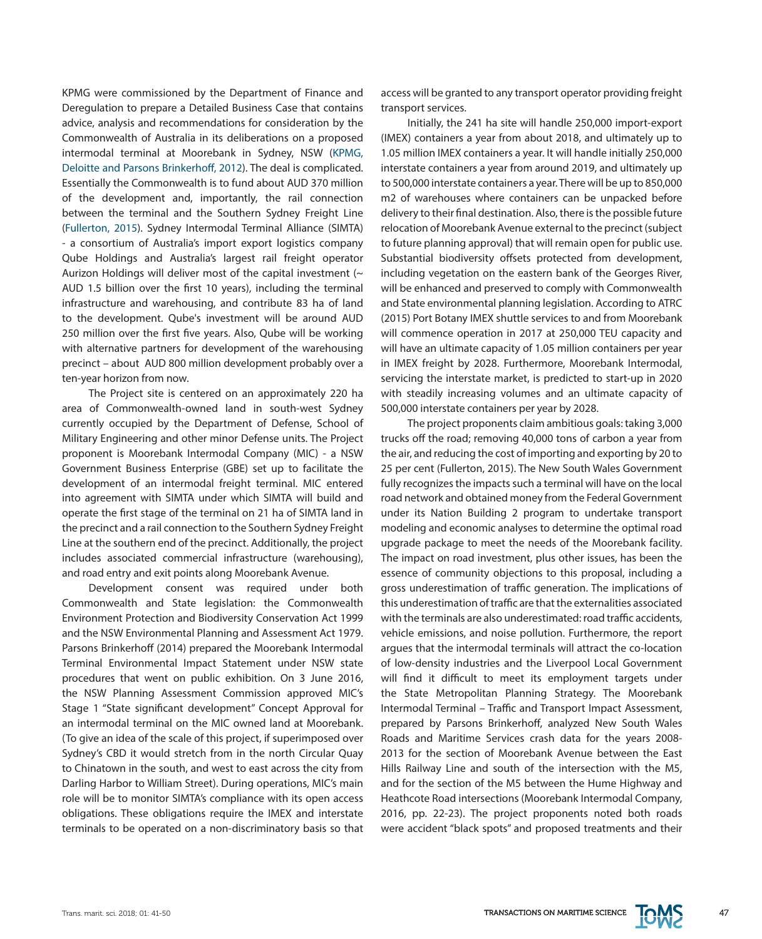KPMG were commissioned by the Department of Finance and Deregulation to prepare a Detailed Business Case that contains advice, analysis and recommendations for consideration by the Commonwealth of Australia in its deliberations on a proposed intermodal terminal at Moorebank in Sydney, NSW (KPMG, Deloitte and Parsons Brinkerhoff, 2012). The deal is complicated. Essentially the Commonwealth is to fund about AUD 370 million of the development and, importantly, the rail connection between the terminal and the Southern Sydney Freight Line (Fullerton, 2015). Sydney Intermodal Terminal Alliance (SIMTA) - a consortium of Australia's import export logistics company Qube Holdings and Australia's largest rail freight operator Aurizon Holdings will deliver most of the capital investment (~ AUD 1.5 billion over the first 10 years), including the terminal infrastructure and warehousing, and contribute 83 ha of land to the development. Qube's investment will be around AUD 250 million over the first five years. Also, Qube will be working with alternative partners for development of the warehousing precinct – about AUD 800 million development probably over a ten-year horizon from now.

The Project site is centered on an approximately 220 ha area of Commonwealth-owned land in south-west Sydney currently occupied by the Department of Defense, School of Military Engineering and other minor Defense units. The Project proponent is Moorebank Intermodal Company (MIC) - a NSW Government Business Enterprise (GBE) set up to facilitate the development of an intermodal freight terminal. MIC entered into agreement with SIMTA under which SIMTA will build and operate the first stage of the terminal on 21 ha of SIMTA land in the precinct and a rail connection to the Southern Sydney Freight Line at the southern end of the precinct. Additionally, the project includes associated commercial infrastructure (warehousing), and road entry and exit points along Moorebank Avenue.

Development consent was required under both Commonwealth and State legislation: the Commonwealth Environment Protection and Biodiversity Conservation Act 1999 and the NSW Environmental Planning and Assessment Act 1979. Parsons Brinkerhoff (2014) prepared the Moorebank Intermodal Terminal Environmental Impact Statement under NSW state procedures that went on public exhibition. On 3 June 2016, the NSW Planning Assessment Commission approved MIC's Stage 1 "State significant development" Concept Approval for an intermodal terminal on the MIC owned land at Moorebank. (To give an idea of the scale of this project, if superimposed over Sydney's CBD it would stretch from in the north Circular Quay to Chinatown in the south, and west to east across the city from Darling Harbor to William Street). During operations, MIC's main role will be to monitor SIMTA's compliance with its open access obligations. These obligations require the IMEX and interstate terminals to be operated on a non-discriminatory basis so that

access will be granted to any transport operator providing freight transport services.

Initially, the 241 ha site will handle 250,000 import-export (IMEX) containers a year from about 2018, and ultimately up to 1.05 million IMEX containers a year. It will handle initially 250,000 interstate containers a year from around 2019, and ultimately up to 500,000 interstate containers a year. There will be up to 850,000 m2 of warehouses where containers can be unpacked before delivery to their final destination. Also, there is the possible future relocation of Moorebank Avenue external to the precinct (subject to future planning approval) that will remain open for public use. Substantial biodiversity offsets protected from development, including vegetation on the eastern bank of the Georges River, will be enhanced and preserved to comply with Commonwealth and State environmental planning legislation. According to ATRC (2015) Port Botany IMEX shuttle services to and from Moorebank will commence operation in 2017 at 250,000 TEU capacity and will have an ultimate capacity of 1.05 million containers per year in IMEX freight by 2028. Furthermore, Moorebank Intermodal, servicing the interstate market, is predicted to start-up in 2020 with steadily increasing volumes and an ultimate capacity of 500,000 interstate containers per year by 2028.

The project proponents claim ambitious goals: taking 3,000 trucks off the road; removing 40,000 tons of carbon a year from the air, and reducing the cost of importing and exporting by 20 to 25 per cent (Fullerton, 2015). The New South Wales Government fully recognizes the impacts such a terminal will have on the local road network and obtained money from the Federal Government under its Nation Building 2 program to undertake transport modeling and economic analyses to determine the optimal road upgrade package to meet the needs of the Moorebank facility. The impact on road investment, plus other issues, has been the essence of community objections to this proposal, including a gross underestimation of traffic generation. The implications of this underestimation of traffic are that the externalities associated with the terminals are also underestimated: road traffic accidents, vehicle emissions, and noise pollution. Furthermore, the report argues that the intermodal terminals will attract the co-location of low-density industries and the Liverpool Local Government will find it difficult to meet its employment targets under the State Metropolitan Planning Strategy. The Moorebank Intermodal Terminal – Traffic and Transport Impact Assessment, prepared by Parsons Brinkerhoff, analyzed New South Wales Roads and Maritime Services crash data for the years 2008- 2013 for the section of Moorebank Avenue between the East Hills Railway Line and south of the intersection with the M5, and for the section of the M5 between the Hume Highway and Heathcote Road intersections (Moorebank Intermodal Company, 2016, pp. 22-23). The project proponents noted both roads were accident "black spots" and proposed treatments and their

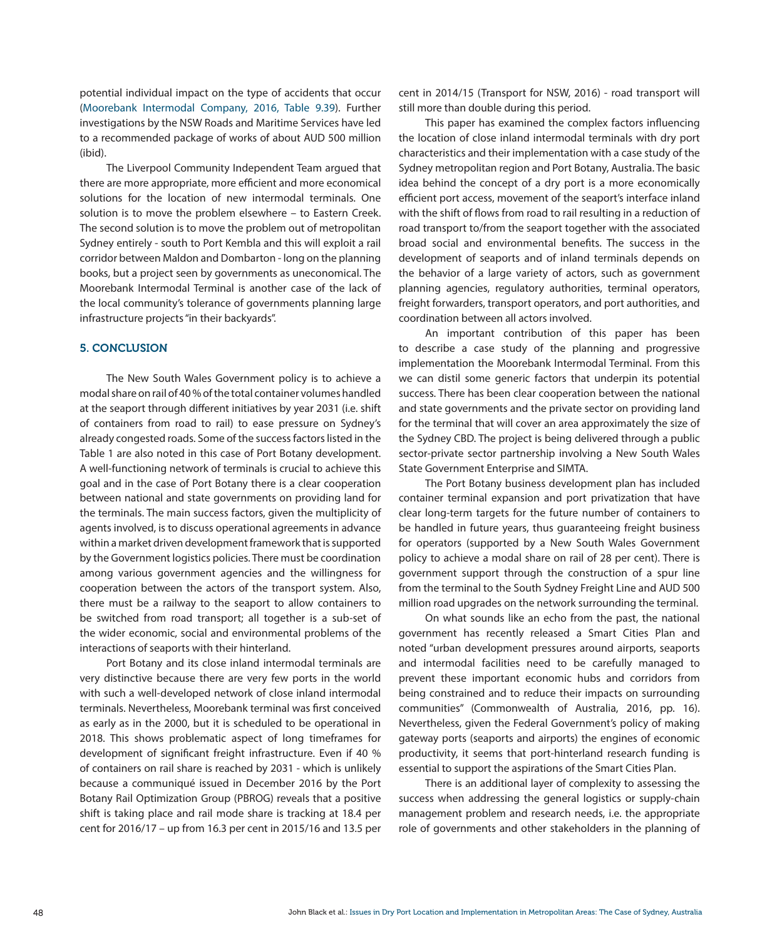potential individual impact on the type of accidents that occur (Moorebank Intermodal Company, 2016, Table 9.39). Further investigations by the NSW Roads and Maritime Services have led to a recommended package of works of about AUD 500 million (ibid).

The Liverpool Community Independent Team argued that there are more appropriate, more efficient and more economical solutions for the location of new intermodal terminals. One solution is to move the problem elsewhere – to Eastern Creek. The second solution is to move the problem out of metropolitan Sydney entirely - south to Port Kembla and this will exploit a rail corridor between Maldon and Dombarton - long on the planning books, but a project seen by governments as uneconomical. The Moorebank Intermodal Terminal is another case of the lack of the local community's tolerance of governments planning large infrastructure projects "in their backyards".

## 5. CONCLUSION

The New South Wales Government policy is to achieve a modal share on rail of 40 % of the total container volumes handled at the seaport through different initiatives by year 2031 (i.e. shift of containers from road to rail) to ease pressure on Sydney's already congested roads. Some of the success factors listed in the Table 1 are also noted in this case of Port Botany development. A well-functioning network of terminals is crucial to achieve this goal and in the case of Port Botany there is a clear cooperation between national and state governments on providing land for the terminals. The main success factors, given the multiplicity of agents involved, is to discuss operational agreements in advance within a market driven development framework that is supported by the Government logistics policies. There must be coordination among various government agencies and the willingness for cooperation between the actors of the transport system. Also, there must be a railway to the seaport to allow containers to be switched from road transport; all together is a sub-set of the wider economic, social and environmental problems of the interactions of seaports with their hinterland.

Port Botany and its close inland intermodal terminals are very distinctive because there are very few ports in the world with such a well-developed network of close inland intermodal terminals. Nevertheless, Moorebank terminal was first conceived as early as in the 2000, but it is scheduled to be operational in 2018. This shows problematic aspect of long timeframes for development of significant freight infrastructure. Even if 40 % of containers on rail share is reached by 2031 - which is unlikely because a communiqué issued in December 2016 by the Port Botany Rail Optimization Group (PBROG) reveals that a positive shift is taking place and rail mode share is tracking at 18.4 per cent for 2016/17 – up from 16.3 per cent in 2015/16 and 13.5 per

cent in 2014/15 (Transport for NSW, 2016) - road transport will still more than double during this period.

This paper has examined the complex factors influencing the location of close inland intermodal terminals with dry port characteristics and their implementation with a case study of the Sydney metropolitan region and Port Botany, Australia. The basic idea behind the concept of a dry port is a more economically efficient port access, movement of the seaport's interface inland with the shift of flows from road to rail resulting in a reduction of road transport to/from the seaport together with the associated broad social and environmental benefits. The success in the development of seaports and of inland terminals depends on the behavior of a large variety of actors, such as government planning agencies, regulatory authorities, terminal operators, freight forwarders, transport operators, and port authorities, and coordination between all actors involved.

An important contribution of this paper has been to describe a case study of the planning and progressive implementation the Moorebank Intermodal Terminal. From this we can distil some generic factors that underpin its potential success. There has been clear cooperation between the national and state governments and the private sector on providing land for the terminal that will cover an area approximately the size of the Sydney CBD. The project is being delivered through a public sector-private sector partnership involving a New South Wales State Government Enterprise and SIMTA.

The Port Botany business development plan has included container terminal expansion and port privatization that have clear long-term targets for the future number of containers to be handled in future years, thus guaranteeing freight business for operators (supported by a New South Wales Government policy to achieve a modal share on rail of 28 per cent). There is government support through the construction of a spur line from the terminal to the South Sydney Freight Line and AUD 500 million road upgrades on the network surrounding the terminal.

On what sounds like an echo from the past, the national government has recently released a Smart Cities Plan and noted "urban development pressures around airports, seaports and intermodal facilities need to be carefully managed to prevent these important economic hubs and corridors from being constrained and to reduce their impacts on surrounding communities" (Commonwealth of Australia, 2016, pp. 16). Nevertheless, given the Federal Government's policy of making gateway ports (seaports and airports) the engines of economic productivity, it seems that port-hinterland research funding is essential to support the aspirations of the Smart Cities Plan.

There is an additional layer of complexity to assessing the success when addressing the general logistics or supply-chain management problem and research needs, i.e. the appropriate role of governments and other stakeholders in the planning of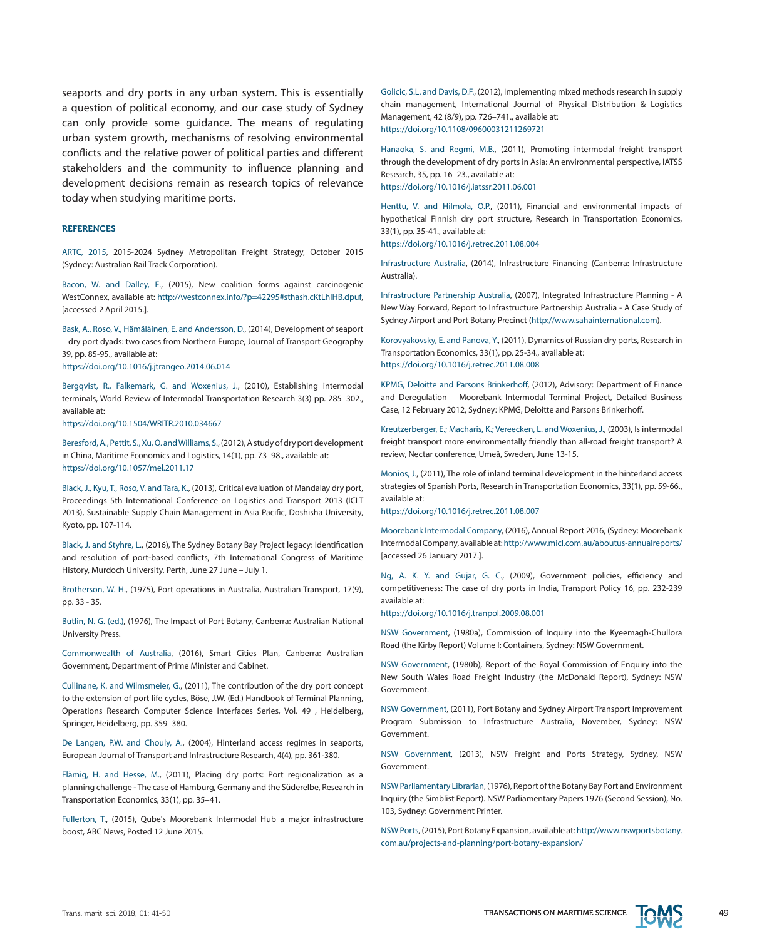seaports and dry ports in any urban system. This is essentially a question of political economy, and our case study of Sydney can only provide some guidance. The means of regulating urban system growth, mechanisms of resolving environmental conflicts and the relative power of political parties and different stakeholders and the community to influence planning and development decisions remain as research topics of relevance today when studying maritime ports.

#### **REFERENCES**

ARTC, 2015, 2015-2024 Sydney Metropolitan Freight Strategy, October 2015 (Sydney: Australian Rail Track Corporation).

Bacon, W. and Dalley, E., (2015), New coalition forms against carcinogenic WestConnex, available at: [http://westconnex.info/?p=42295#sthash.cKtLhIHB.dpuf](http://westconnex.info/%3Fp%3D42295%23sthash.cKtLhIHB.dpuf), [accessed 2 April 2015.].

Bask, A., Roso, V., Hämäläinen, E. and Andersson, D., (2014), Development of seaport – dry port dyads: two cases from Northern Europe, Journal of Transport Geography 39, pp. 85-95., available at: <https://doi.org/10.1016/j.jtrangeo.2014.06.014>

Bergqvist, R., Falkemark, G. and Woxenius, J., (2010), Establishing intermodal terminals, World Review of Intermodal Transportation Research 3(3) pp. 285–302., available at:

<https://doi.org/10.1504/WRITR.2010.034667>

Beresford, A., Pettit, S., Xu, Q. and Williams, S., (2012), A study of dry port development in China, Maritime Economics and Logistics, 14(1), pp. 73–98., available at: <https://doi.org/10.1057/mel.2011.17>

Black, J., Kyu, T., Roso, V. and Tara, K., (2013), Critical evaluation of Mandalay dry port, Proceedings 5th International Conference on Logistics and Transport 2013 (ICLT 2013), Sustainable Supply Chain Management in Asia Pacific, Doshisha University, Kyoto, pp. 107-114.

Black, J. and Styhre, L., (2016), The Sydney Botany Bay Project legacy: Identification and resolution of port-based conflicts, 7th International Congress of Maritime History, Murdoch University, Perth, June 27 June – July 1.

Brotherson, W. H., (1975), Port operations in Australia, Australian Transport, 17(9), pp. 33 - 35.

Butlin, N. G. (ed.), (1976), The Impact of Port Botany, Canberra: Australian National University Press.

Commonwealth of Australia, (2016), Smart Cities Plan, Canberra: Australian Government, Department of Prime Minister and Cabinet.

Cullinane, K. and Wilmsmeier, G., (2011), The contribution of the dry port concept to the extension of port life cycles, Böse, J.W. (Ed.) Handbook of Terminal Planning, Operations Research Computer Science Interfaces Series, Vol. 49 , Heidelberg, Springer, Heidelberg, pp. 359–380.

De Langen, P.W. and Chouly, A., (2004), Hinterland access regimes in seaports, European Journal of Transport and Infrastructure Research, 4(4), pp. 361-380.

Flämig, H. and Hesse, M., (2011), Placing dry ports: Port regionalization as a planning challenge - The case of Hamburg, Germany and the Süderelbe, Research in Transportation Economics, 33(1), pp. 35–41.

Fullerton, T., (2015), Qube's Moorebank Intermodal Hub a major infrastructure boost, ABC News, Posted 12 June 2015.

Golicic, S.L. and Davis, D.F., (2012), Implementing mixed methods research in supply chain management, International Journal of Physical Distribution & Logistics Management, 42 (8/9), pp. 726–741., available at: <https://doi.org/10.1108/09600031211269721>

Hanaoka, S. and Regmi, M.B., (2011), Promoting intermodal freight transport through the development of dry ports in Asia: An environmental perspective, IATSS Research, 35, pp. 16–23., available at:

<https://doi.org/10.1016/j.iatssr.2011.06.001>

Henttu, V. and Hilmola, O.P., (2011), Financial and environmental impacts of hypothetical Finnish dry port structure, Research in Transportation Economics, 33(1), pp. 35-41., available at:

<https://doi.org/10.1016/j.retrec.2011.08.004>

Infrastructure Australia, (2014), Infrastructure Financing (Canberra: Infrastructure Australia).

Infrastructure Partnership Australia, (2007), Integrated Infrastructure Planning - A New Way Forward, Report to Infrastructure Partnership Australia - A Case Study of Sydney Airport and Port Botany Precinct [\(http://www.sahainternational.com\)](http://www.sahainternational.com).

Korovyakovsky, E. and Panova, Y., (2011), Dynamics of Russian dry ports, Research in Transportation Economics, 33(1), pp. 25-34., available at: <https://doi.org/10.1016/j.retrec.2011.08.008>

KPMG, Deloitte and Parsons Brinkerhoff, (2012), Advisory: Department of Finance and Deregulation – Moorebank Intermodal Terminal Project, Detailed Business Case, 12 February 2012, Sydney: KPMG, Deloitte and Parsons Brinkerhoff.

Kreutzerberger, E.; Macharis, K.; Vereecken, L. and Woxenius, J., (2003), Is intermodal freight transport more environmentally friendly than all-road freight transport? A review, Nectar conference, Umeå, Sweden, June 13-15.

Monios, J., (2011), The role of inland terminal development in the hinterland access strategies of Spanish Ports, Research in Transportation Economics, 33(1), pp. 59-66., available at:

<https://doi.org/10.1016/j.retrec.2011.08.007>

Moorebank Intermodal Company, (2016), Annual Report 2016, (Sydney: Moorebank Intermodal Company, available at:<http://www.micl.com.au/aboutus-annualreports/> [accessed 26 January 2017.].

Ng, A. K. Y. and Gujar, G. C., (2009), Government policies, efficiency and competitiveness: The case of dry ports in India, Transport Policy 16, pp. 232-239 available at:

<https://doi.org/10.1016/j.tranpol.2009.08.001>

NSW Government, (1980a), Commission of Inquiry into the Kyeemagh-Chullora Road (the Kirby Report) Volume I: Containers, Sydney: NSW Government.

NSW Government, (1980b), Report of the Royal Commission of Enquiry into the New South Wales Road Freight Industry (the McDonald Report), Sydney: NSW Government.

NSW Government, (2011), Port Botany and Sydney Airport Transport Improvement Program Submission to Infrastructure Australia, November, Sydney: NSW Government.

NSW Government, (2013), NSW Freight and Ports Strategy, Sydney, NSW Government.

NSW Parliamentary Librarian, (1976), Report of the Botany Bay Port and Environment Inquiry (the Simblist Report). NSW Parliamentary Papers 1976 (Second Session), No. 103, Sydney: Government Printer.

NSW Ports, (2015), Port Botany Expansion, available at: [http://www.nswportsbotany.](http://www.nswportsbotany.com.au/projects-and-planning/port-botany-expansion/) [com.au/projects-and-planning/port-botany-expansion/](http://www.nswportsbotany.com.au/projects-and-planning/port-botany-expansion/)